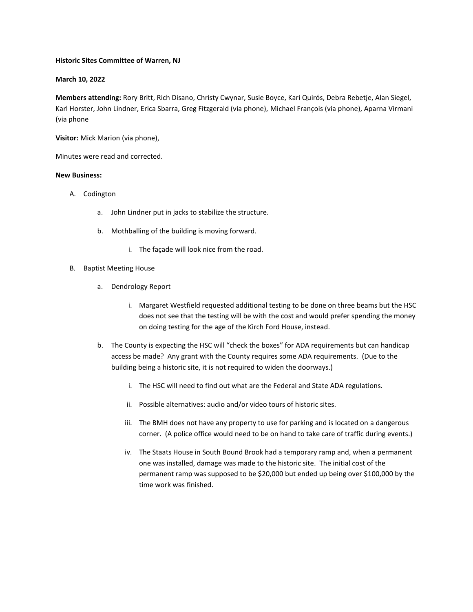### **Historic Sites Committee of Warren, NJ**

# **March 10, 2022**

**Members attending:** Rory Britt, Rich Disano, Christy Cwynar, Susie Boyce, Kari Quirós, Debra Rebetje, Alan Siegel, Karl Horster, John Lindner, Erica Sbarra, Greg Fitzgerald (via phone), Michael François (via phone), Aparna Virmani (via phone

**Visitor:** Mick Marion (via phone),

Minutes were read and corrected.

### **New Business:**

- A. Codington
	- a. John Lindner put in jacks to stabilize the structure.
	- b. Mothballing of the building is moving forward.
		- i. The façade will look nice from the road.
- B. Baptist Meeting House
	- a. Dendrology Report
		- i. Margaret Westfield requested additional testing to be done on three beams but the HSC does not see that the testing will be with the cost and would prefer spending the money on doing testing for the age of the Kirch Ford House, instead.
	- b. The County is expecting the HSC will "check the boxes" for ADA requirements but can handicap access be made? Any grant with the County requires some ADA requirements. (Due to the building being a historic site, it is not required to widen the doorways.)
		- i. The HSC will need to find out what are the Federal and State ADA regulations.
		- ii. Possible alternatives: audio and/or video tours of historic sites.
		- iii. The BMH does not have any property to use for parking and is located on a dangerous corner. (A police office would need to be on hand to take care of traffic during events.)
		- iv. The Staats House in South Bound Brook had a temporary ramp and, when a permanent one was installed, damage was made to the historic site. The initial cost of the permanent ramp was supposed to be \$20,000 but ended up being over \$100,000 by the time work was finished.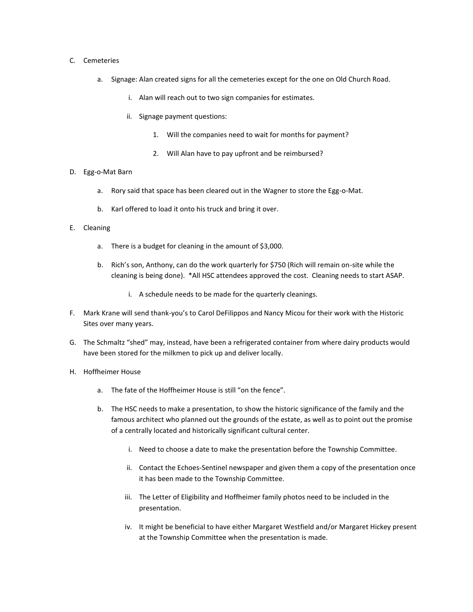### C. Cemeteries

- a. Signage: Alan created signs for all the cemeteries except for the one on Old Church Road.
	- i. Alan will reach out to two sign companies for estimates.
	- ii. Signage payment questions:
		- 1. Will the companies need to wait for months for payment?
		- 2. Will Alan have to pay upfront and be reimbursed?

# D. Egg-o-Mat Barn

- a. Rory said that space has been cleared out in the Wagner to store the Egg-o-Mat.
- b. Karl offered to load it onto his truck and bring it over.

# E. Cleaning

- a. There is a budget for cleaning in the amount of \$3,000.
- b. Rich's son, Anthony, can do the work quarterly for \$750 (Rich will remain on-site while the cleaning is being done). \*All HSC attendees approved the cost. Cleaning needs to start ASAP.
	- i. A schedule needs to be made for the quarterly cleanings.
- F. Mark Krane will send thank-you's to Carol DeFilippos and Nancy Micou for their work with the Historic Sites over many years.
- G. The Schmaltz "shed" may, instead, have been a refrigerated container from where dairy products would have been stored for the milkmen to pick up and deliver locally.
- H. Hoffheimer House
	- a. The fate of the Hoffheimer House is still "on the fence".
	- b. The HSC needs to make a presentation, to show the historic significance of the family and the famous architect who planned out the grounds of the estate, as well as to point out the promise of a centrally located and historically significant cultural center.
		- i. Need to choose a date to make the presentation before the Township Committee.
		- ii. Contact the Echoes-Sentinel newspaper and given them a copy of the presentation once it has been made to the Township Committee.
		- iii. The Letter of Eligibility and Hoffheimer family photos need to be included in the presentation.
		- iv. It might be beneficial to have either Margaret Westfield and/or Margaret Hickey present at the Township Committee when the presentation is made.